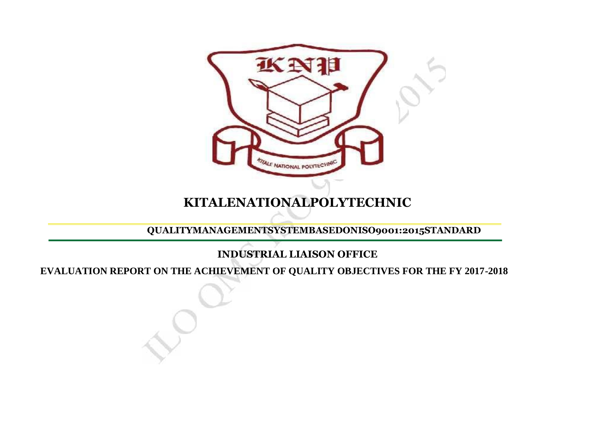

## **KITALENATIONALPOLYTECHNIC**

**QUALITYMANAGEMENTSYSTEMBASEDONISO9001:2015STANDARD**

## **INDUSTRIAL LIAISON OFFICE**

**EVALUATION REPORT ON THE ACHIEVEMENT OF QUALITY OBJECTIVES FOR THE FY 2017-2018**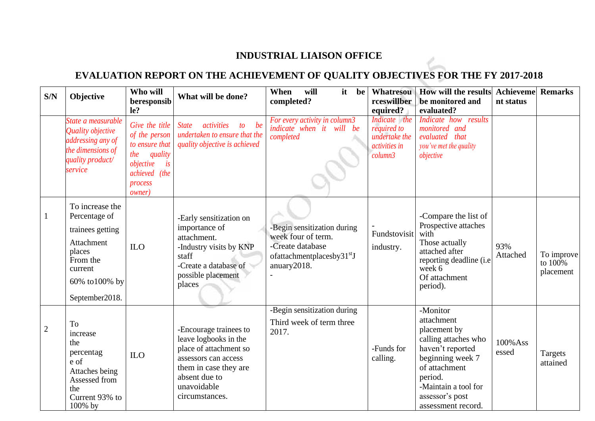## **INDUSTRIAL LIAISON OFFICE**

## **EVALUATION REPORT ON THE ACHIEVEMENT OF QUALITY OBJECTIVES FOR THE FY 2017-2018**

| S/N            | Objective                                                                                                                              | Who will<br>beresponsib<br>le?                                                                                                       | What will be done?                                                                                                                                                           | When<br>will<br>it<br>be<br>completed?                                                                                         | <b>Whatresou</b><br>rceswillber<br>equired?                                     | How will the results<br>be monitored and<br>evaluated?                                                                                                                                              | <b>Achieveme Remarks</b><br>nt status |                                       |
|----------------|----------------------------------------------------------------------------------------------------------------------------------------|--------------------------------------------------------------------------------------------------------------------------------------|------------------------------------------------------------------------------------------------------------------------------------------------------------------------------|--------------------------------------------------------------------------------------------------------------------------------|---------------------------------------------------------------------------------|-----------------------------------------------------------------------------------------------------------------------------------------------------------------------------------------------------|---------------------------------------|---------------------------------------|
|                | State a measurable<br>Quality objective<br>addressing any of<br>the dimensions of<br>quality product/<br>service                       | Give the title<br>of the person<br>to ensure that<br>quality<br>the<br>is<br>objective<br>achieved (the<br>process<br><i>owner</i> ) | activities<br>to be<br><b>State</b><br>undertaken to ensure that the<br>quality objective is achieved                                                                        | For every activity in column3<br>indicate when it will be<br>completed                                                         | Indicate the<br><i>required to</i><br>undertake the<br>activities in<br>column3 | Indicate how results<br>monitored and<br>evaluated that<br>you've met the quality<br>objective                                                                                                      |                                       |                                       |
|                | To increase the<br>Percentage of<br>trainees getting<br>Attachment<br>places<br>From the<br>current<br>60% to100% by<br>September2018. | ILO                                                                                                                                  | -Early sensitization on<br>importance of<br>attachment.<br>-Industry visits by KNP<br>staff<br>-Create a database of<br>possible placement<br>places                         | -Begin sensitization during<br>week four of term.<br>-Create database<br>ofattachmentplacesby31 <sup>st</sup> J<br>anuary2018. | Fundstovisit<br>industry.                                                       | -Compare the list of<br>Prospective attaches<br>with<br>Those actually<br>attached after<br>reporting deadline (i.e.<br>week 6<br>Of attachment<br>period).                                         | 93%<br>Attached                       | To improve<br>to $100\%$<br>placement |
| $\overline{2}$ | To<br>increase<br>the<br>percentag<br>e of<br>Attaches being<br>Assessed from<br>the<br>Current 93% to<br>100% by                      | <b>ILO</b>                                                                                                                           | -Encourage trainees to<br>leave logbooks in the<br>place of attachment so<br>assessors can access<br>them in case they are<br>absent due to<br>unavoidable<br>circumstances. | -Begin sensitization during<br>Third week of term three<br>2017.                                                               | -Funds for<br>calling.                                                          | -Monitor<br>attachment<br>placement by<br>calling attaches who<br>haven't reported<br>beginning week 7<br>of attachment<br>period.<br>-Maintain a tool for<br>assessor's post<br>assessment record. | 100% Ass<br>essed                     | Targets<br>attained                   |